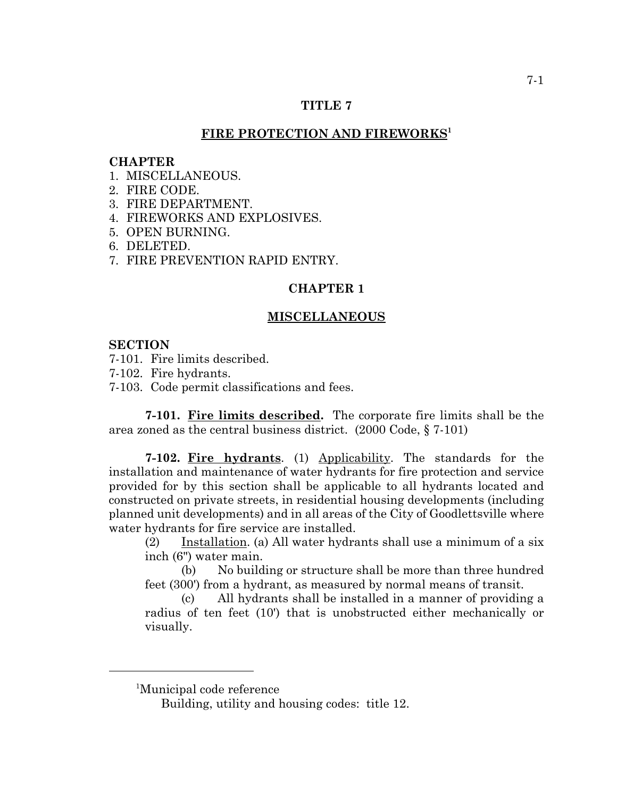# **TITLE 7**

# FIRE PROTECTION AND FIREWORKS<sup>1</sup>

#### **CHAPTER**

- 1 MISCELLANEOUS
- 2. FIRE CODE.
- 3. FIRE DEPARTMENT.
- 4. FIREWORKS AND EXPLOSIVES.
- 5. OPEN BURNING.
- 6. DELETED.
- 7. FIRE PREVENTION RAPID ENTRY.

## **CHAPTER 1**

#### **MISCELLANEOUS**

#### **SECTION**

- 7-101. Fire limits described.
- 7-102. Fire hydrants.
- 7-103. Code permit classifications and fees.

**7-101. Fire limits described.** The corporate fire limits shall be the area zoned as the central business district. (2000 Code, § 7-101)

**7-102. Fire hydrants**. (1) Applicability. The standards for the installation and maintenance of water hydrants for fire protection and service provided for by this section shall be applicable to all hydrants located and constructed on private streets, in residential housing developments (including planned unit developments) and in all areas of the City of Goodlettsville where water hydrants for fire service are installed.

(2) Installation. (a) All water hydrants shall use a minimum of a six inch (6") water main.

(b) No building or structure shall be more than three hundred feet (300') from a hydrant, as measured by normal means of transit.

(c) All hydrants shall be installed in a manner of providing a radius of ten feet (10') that is unobstructed either mechanically or visually.

<sup>1</sup> Municipal code reference

Building, utility and housing codes: title 12.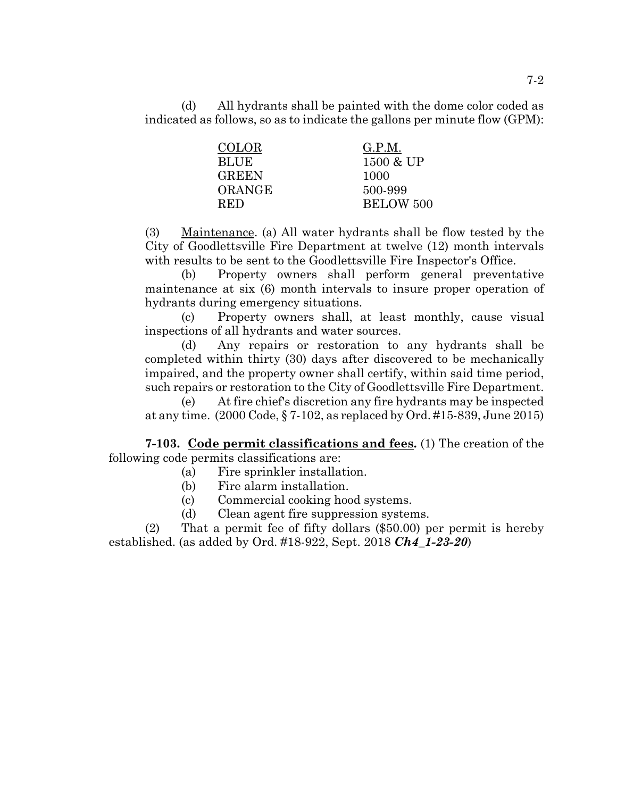(d) All hydrants shall be painted with the dome color coded as indicated as follows, so as to indicate the gallons per minute flow (GPM):

| <b>COLOR</b> | G.P.M.    |
|--------------|-----------|
| <b>BLUE</b>  | 1500 & UP |
| <b>GREEN</b> | 1000      |
| ORANGE       | 500-999   |
| <b>RED</b>   | BELOW 500 |

(3) Maintenance. (a) All water hydrants shall be flow tested by the City of Goodlettsville Fire Department at twelve (12) month intervals with results to be sent to the Goodlettsville Fire Inspector's Office.

(b) Property owners shall perform general preventative maintenance at six (6) month intervals to insure proper operation of hydrants during emergency situations.

(c) Property owners shall, at least monthly, cause visual inspections of all hydrants and water sources.

(d) Any repairs or restoration to any hydrants shall be completed within thirty (30) days after discovered to be mechanically impaired, and the property owner shall certify, within said time period, such repairs or restoration to the City of Goodlettsville Fire Department.

(e) At fire chief's discretion any fire hydrants may be inspected at any time. (2000 Code, § 7-102, as replaced by Ord. #15-839, June 2015)

**7-103. Code permit classifications and fees.** (1) The creation of the following code permits classifications are:

- (a) Fire sprinkler installation.
- (b) Fire alarm installation.
- (c) Commercial cooking hood systems.
- (d) Clean agent fire suppression systems.

(2) That a permit fee of fifty dollars (\$50.00) per permit is hereby established. (as added by Ord. #18-922, Sept. 2018 *Ch4\_1-23-20*)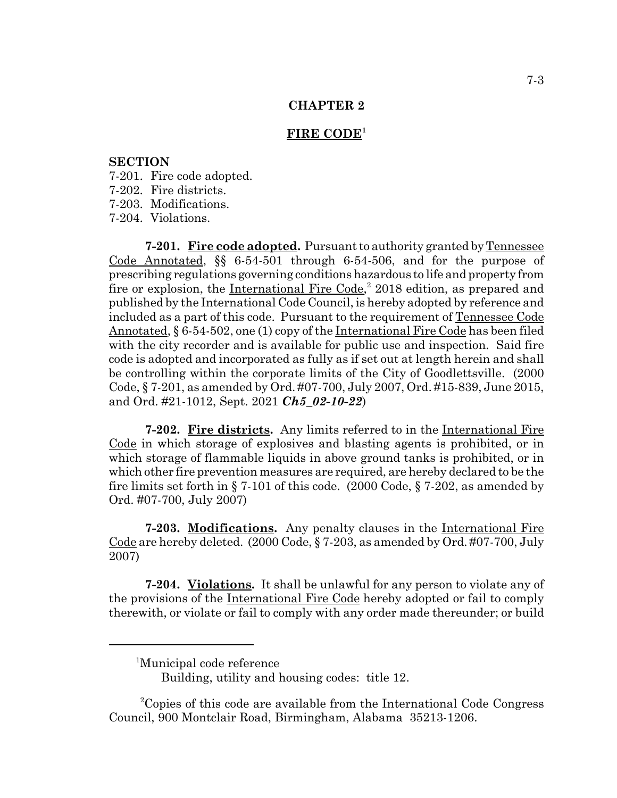## **FIRE CODE<sup>1</sup>**

## **SECTION**

- 7-201. Fire code adopted.
- 7-202. Fire districts.
- 7-203. Modifications.
- 7-204. Violations.

**7-201. Fire code adopted.** Pursuant to authority granted by Tennessee Code Annotated, §§ 6-54-501 through 6-54-506, and for the purpose of prescribing regulations governing conditions hazardous to life and property from fire or explosion, the International Fire Code,<sup>2</sup> 2018 edition, as prepared and published by the International Code Council, is hereby adopted by reference and included as a part of this code. Pursuant to the requirement of Tennessee Code Annotated, § 6-54-502, one (1) copy of the International Fire Code has been filed with the city recorder and is available for public use and inspection. Said fire code is adopted and incorporated as fully as if set out at length herein and shall be controlling within the corporate limits of the City of Goodlettsville. (2000 Code, § 7-201, as amended by Ord. #07-700, July 2007, Ord. #15-839, June 2015, and Ord. #21-1012, Sept. 2021 *Ch5\_02-10-22*)

**7-202. Fire districts.** Any limits referred to in the International Fire Code in which storage of explosives and blasting agents is prohibited, or in which storage of flammable liquids in above ground tanks is prohibited, or in which other fire prevention measures are required, are hereby declared to be the fire limits set forth in § 7-101 of this code. (2000 Code, § 7-202, as amended by Ord. #07-700, July 2007)

**7-203. Modifications.** Any penalty clauses in the International Fire Code are hereby deleted. (2000 Code, § 7-203, as amended by Ord. #07-700, July 2007)

**7-204. Violations.** It shall be unlawful for any person to violate any of the provisions of the International Fire Code hereby adopted or fail to comply therewith, or violate or fail to comply with any order made thereunder; or build

<sup>1</sup> Municipal code reference

Building, utility and housing codes: title 12.

<sup>2</sup> Copies of this code are available from the International Code Congress Council, 900 Montclair Road, Birmingham, Alabama 35213-1206.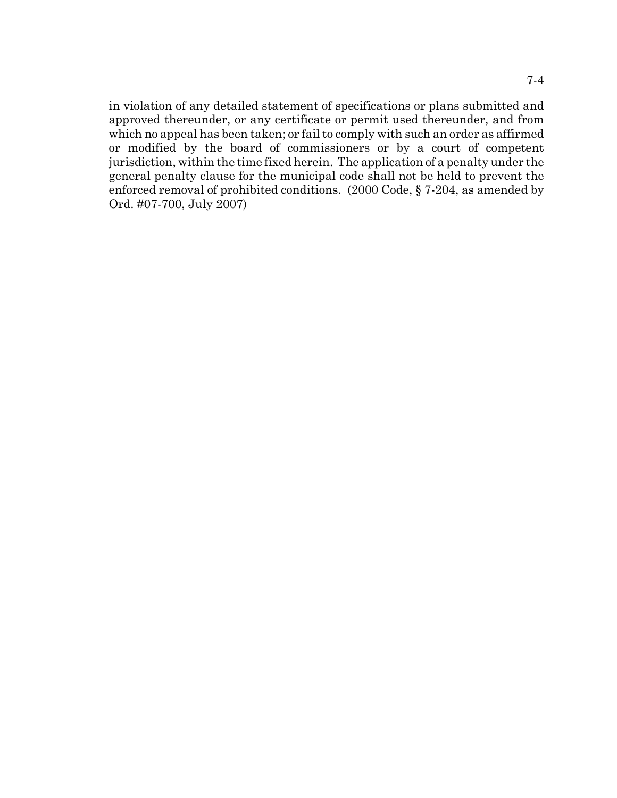in violation of any detailed statement of specifications or plans submitted and approved thereunder, or any certificate or permit used thereunder, and from which no appeal has been taken; or fail to comply with such an order as affirmed or modified by the board of commissioners or by a court of competent jurisdiction, within the time fixed herein. The application of a penalty under the general penalty clause for the municipal code shall not be held to prevent the enforced removal of prohibited conditions. (2000 Code, § 7-204, as amended by Ord. #07-700, July 2007)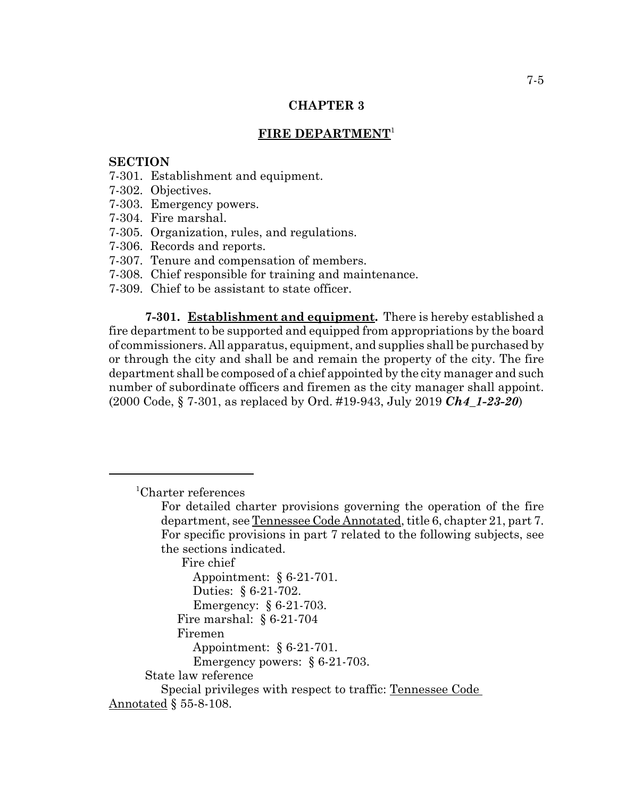# **FIRE DEPARTMENT**<sup>1</sup>

## **SECTION**

- 7-301. Establishment and equipment.
- 7-302. Objectives.
- 7-303. Emergency powers.
- 7-304. Fire marshal.
- 7-305. Organization, rules, and regulations.
- 7-306. Records and reports.
- 7-307. Tenure and compensation of members.
- 7-308. Chief responsible for training and maintenance.
- 7-309. Chief to be assistant to state officer.

**7-301. Establishment and equipment.** There is hereby established a fire department to be supported and equipped from appropriations by the board of commissioners. All apparatus, equipment, and supplies shall be purchased by or through the city and shall be and remain the property of the city. The fire department shall be composed of a chief appointed by the city manager and such number of subordinate officers and firemen as the city manager shall appoint. (2000 Code, § 7-301, as replaced by Ord. #19-943, July 2019 *Ch4\_1-23-20*)

<sup>1</sup> Charter references

Fire chief

Appointment: § 6-21-701. Duties: § 6-21-702. Emergency: § 6-21-703. Fire marshal: § 6-21-704 Firemen Appointment: § 6-21-701. Emergency powers: § 6-21-703. State law reference Special privileges with respect to traffic: Tennessee Code Annotated § 55-8-108.

For detailed charter provisions governing the operation of the fire department, see Tennessee Code Annotated, title 6, chapter 21, part 7. For specific provisions in part 7 related to the following subjects, see the sections indicated.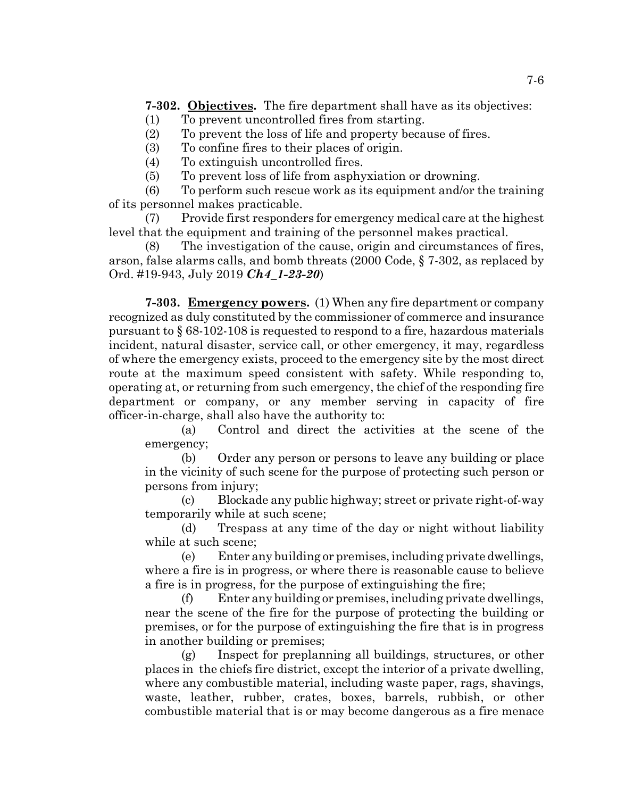**7-302. Objectives.** The fire department shall have as its objectives:

- (1) To prevent uncontrolled fires from starting.
- (2) To prevent the loss of life and property because of fires.
- (3) To confine fires to their places of origin.
- (4) To extinguish uncontrolled fires.
- (5) To prevent loss of life from asphyxiation or drowning.

(6) To perform such rescue work as its equipment and/or the training of its personnel makes practicable.

(7) Provide first responders for emergency medical care at the highest level that the equipment and training of the personnel makes practical.

(8) The investigation of the cause, origin and circumstances of fires, arson, false alarms calls, and bomb threats (2000 Code, § 7-302, as replaced by Ord. #19-943, July 2019 *Ch4\_1-23-20*)

**7-303. Emergency powers.** (1) When any fire department or company recognized as duly constituted by the commissioner of commerce and insurance pursuant to § 68-102-108 is requested to respond to a fire, hazardous materials incident, natural disaster, service call, or other emergency, it may, regardless of where the emergency exists, proceed to the emergency site by the most direct route at the maximum speed consistent with safety. While responding to, operating at, or returning from such emergency, the chief of the responding fire department or company, or any member serving in capacity of fire officer-in-charge, shall also have the authority to:

(a) Control and direct the activities at the scene of the emergency;

(b) Order any person or persons to leave any building or place in the vicinity of such scene for the purpose of protecting such person or persons from injury;

(c) Blockade any public highway; street or private right-of-way temporarily while at such scene;

(d) Trespass at any time of the day or night without liability while at such scene;

(e) Enter any building or premises, including private dwellings, where a fire is in progress, or where there is reasonable cause to believe a fire is in progress, for the purpose of extinguishing the fire;

(f) Enter any building or premises, including private dwellings, near the scene of the fire for the purpose of protecting the building or premises, or for the purpose of extinguishing the fire that is in progress in another building or premises;

(g) Inspect for preplanning all buildings, structures, or other places in the chiefs fire district, except the interior of a private dwelling, where any combustible material, including waste paper, rags, shavings, waste, leather, rubber, crates, boxes, barrels, rubbish, or other combustible material that is or may become dangerous as a fire menace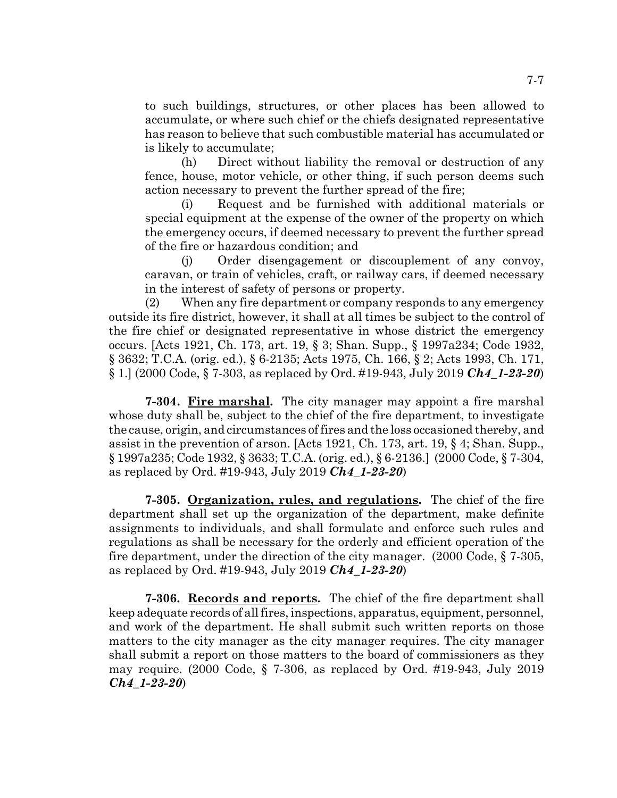to such buildings, structures, or other places has been allowed to accumulate, or where such chief or the chiefs designated representative has reason to believe that such combustible material has accumulated or is likely to accumulate;

(h) Direct without liability the removal or destruction of any fence, house, motor vehicle, or other thing, if such person deems such action necessary to prevent the further spread of the fire;

(i) Request and be furnished with additional materials or special equipment at the expense of the owner of the property on which the emergency occurs, if deemed necessary to prevent the further spread of the fire or hazardous condition; and

(j) Order disengagement or discouplement of any convoy, caravan, or train of vehicles, craft, or railway cars, if deemed necessary in the interest of safety of persons or property.

(2) When any fire department or company responds to any emergency outside its fire district, however, it shall at all times be subject to the control of the fire chief or designated representative in whose district the emergency occurs. [Acts 1921, Ch. 173, art. 19, § 3; Shan. Supp., § 1997a234; Code 1932, § 3632; T.C.A. (orig. ed.), § 6-2135; Acts 1975, Ch. 166, § 2; Acts 1993, Ch. 171, § 1.] (2000 Code, § 7-303, as replaced by Ord. #19-943, July 2019 *Ch4\_1-23-20*)

**7-304. Fire marshal.** The city manager may appoint a fire marshal whose duty shall be, subject to the chief of the fire department, to investigate the cause, origin, and circumstances of fires and the loss occasioned thereby, and assist in the prevention of arson. [Acts 1921, Ch. 173, art. 19, § 4; Shan. Supp., § 1997a235; Code 1932, § 3633; T.C.A. (orig. ed.), § 6-2136.] (2000 Code, § 7-304, as replaced by Ord. #19-943, July 2019 *Ch4\_1-23-20*)

**7-305. Organization, rules, and regulations.** The chief of the fire department shall set up the organization of the department, make definite assignments to individuals, and shall formulate and enforce such rules and regulations as shall be necessary for the orderly and efficient operation of the fire department, under the direction of the city manager. (2000 Code, § 7-305, as replaced by Ord. #19-943, July 2019 *Ch4\_1-23-20*)

**7-306. Records and reports.** The chief of the fire department shall keep adequate records of all fires, inspections, apparatus, equipment, personnel, and work of the department. He shall submit such written reports on those matters to the city manager as the city manager requires. The city manager shall submit a report on those matters to the board of commissioners as they may require. (2000 Code, § 7-306, as replaced by Ord. #19-943, July 2019 *Ch4\_1-23-20*)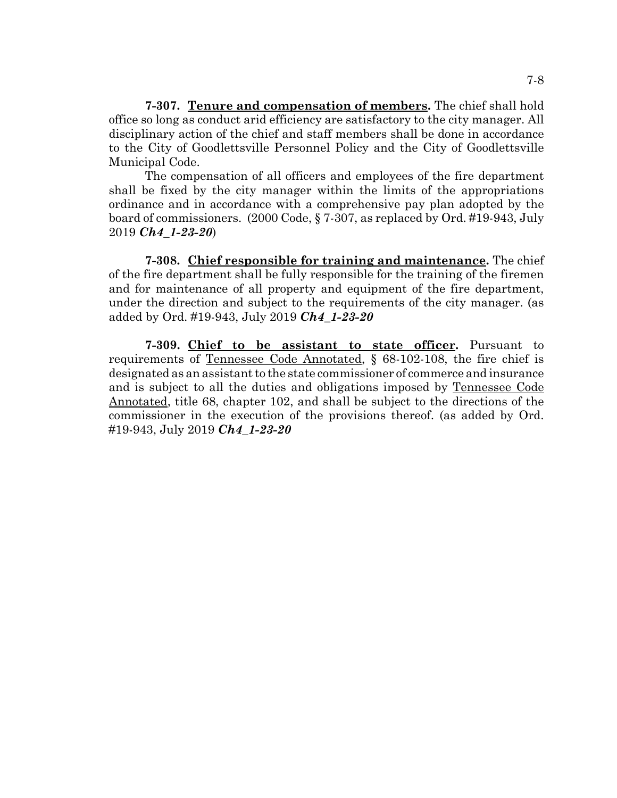**7-307. Tenure and compensation of members.** The chief shall hold office so long as conduct arid efficiency are satisfactory to the city manager. All disciplinary action of the chief and staff members shall be done in accordance to the City of Goodlettsville Personnel Policy and the City of Goodlettsville Municipal Code.

The compensation of all officers and employees of the fire department shall be fixed by the city manager within the limits of the appropriations ordinance and in accordance with a comprehensive pay plan adopted by the board of commissioners. (2000 Code, § 7-307, as replaced by Ord. #19-943, July 2019 *Ch4\_1-23-20*)

**7-308. Chief responsible for training and maintenance.** The chief of the fire department shall be fully responsible for the training of the firemen and for maintenance of all property and equipment of the fire department, under the direction and subject to the requirements of the city manager. (as added by Ord. #19-943, July 2019 *Ch4\_1-23-20*

**7-309. Chief to be assistant to state officer.** Pursuant to requirements of Tennessee Code Annotated, § 68-102-108, the fire chief is designated as an assistant to the state commissioner of commerce and insurance and is subject to all the duties and obligations imposed by Tennessee Code Annotated, title 68, chapter 102, and shall be subject to the directions of the commissioner in the execution of the provisions thereof. (as added by Ord. #19-943, July 2019 *Ch4\_1-23-20*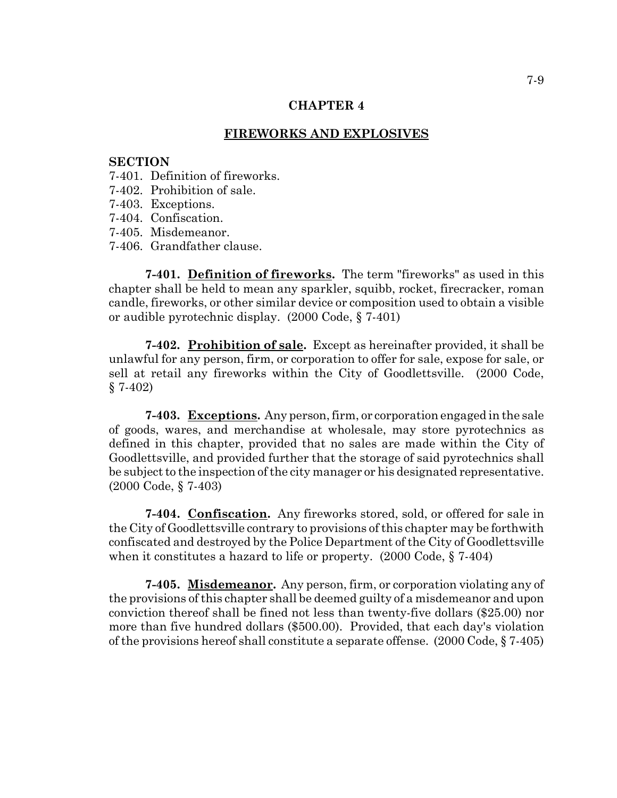## **FIREWORKS AND EXPLOSIVES**

#### **SECTION**

- 7-401. Definition of fireworks.
- 7-402. Prohibition of sale.
- 7-403. Exceptions.
- 7-404. Confiscation.
- 7-405. Misdemeanor.
- 7-406. Grandfather clause.

**7-401. Definition of fireworks.** The term "fireworks" as used in this chapter shall be held to mean any sparkler, squibb, rocket, firecracker, roman candle, fireworks, or other similar device or composition used to obtain a visible or audible pyrotechnic display. (2000 Code, § 7-401)

**7-402. Prohibition of sale.** Except as hereinafter provided, it shall be unlawful for any person, firm, or corporation to offer for sale, expose for sale, or sell at retail any fireworks within the City of Goodlettsville. (2000 Code, § 7-402)

**7-403. Exceptions.** Any person, firm, or corporation engaged in the sale of goods, wares, and merchandise at wholesale, may store pyrotechnics as defined in this chapter, provided that no sales are made within the City of Goodlettsville, and provided further that the storage of said pyrotechnics shall be subject to the inspection of the city manager or his designated representative. (2000 Code, § 7-403)

**7-404. Confiscation.** Any fireworks stored, sold, or offered for sale in the City of Goodlettsville contrary to provisions of this chapter may be forthwith confiscated and destroyed by the Police Department of the City of Goodlettsville when it constitutes a hazard to life or property. (2000 Code, § 7-404)

**7-405. Misdemeanor.** Any person, firm, or corporation violating any of the provisions of this chapter shall be deemed guilty of a misdemeanor and upon conviction thereof shall be fined not less than twenty-five dollars (\$25.00) nor more than five hundred dollars (\$500.00). Provided, that each day's violation of the provisions hereof shall constitute a separate offense. (2000 Code, § 7-405)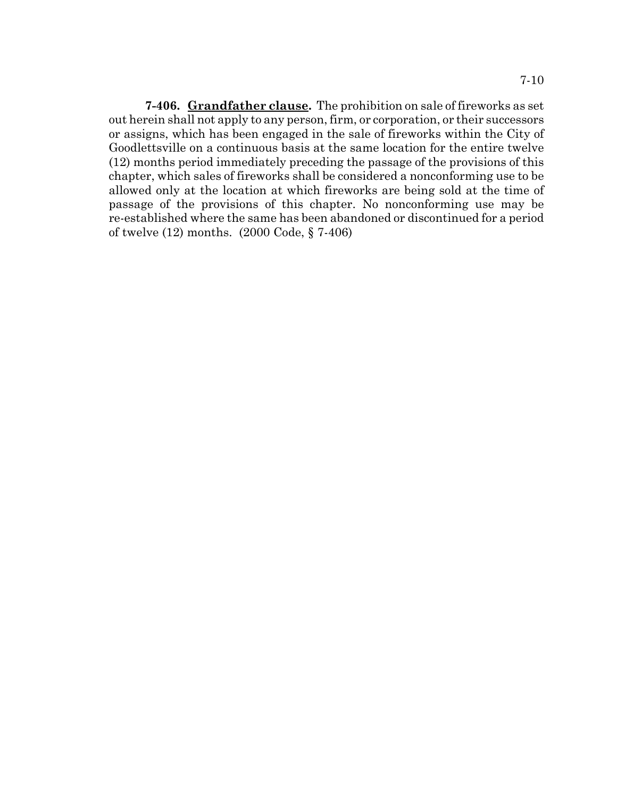**7-406. Grandfather clause.** The prohibition on sale of fireworks as set out herein shall not apply to any person, firm, or corporation, or their successors or assigns, which has been engaged in the sale of fireworks within the City of Goodlettsville on a continuous basis at the same location for the entire twelve (12) months period immediately preceding the passage of the provisions of this chapter, which sales of fireworks shall be considered a nonconforming use to be allowed only at the location at which fireworks are being sold at the time of passage of the provisions of this chapter. No nonconforming use may be re-established where the same has been abandoned or discontinued for a period of twelve (12) months. (2000 Code, § 7-406)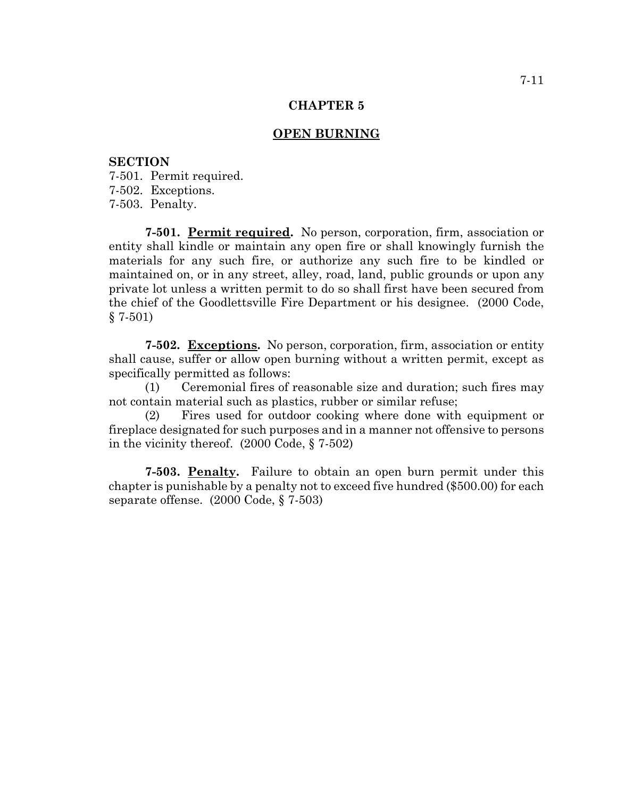## **OPEN BURNING**

## **SECTION**

7-501. Permit required. 7-502. Exceptions. 7-503. Penalty.

**7-501. Permit required.** No person, corporation, firm, association or entity shall kindle or maintain any open fire or shall knowingly furnish the materials for any such fire, or authorize any such fire to be kindled or maintained on, or in any street, alley, road, land, public grounds or upon any private lot unless a written permit to do so shall first have been secured from the chief of the Goodlettsville Fire Department or his designee. (2000 Code,  $§ 7-501)$ 

**7-502. Exceptions.** No person, corporation, firm, association or entity shall cause, suffer or allow open burning without a written permit, except as specifically permitted as follows:

(1) Ceremonial fires of reasonable size and duration; such fires may not contain material such as plastics, rubber or similar refuse;

(2) Fires used for outdoor cooking where done with equipment or fireplace designated for such purposes and in a manner not offensive to persons in the vicinity thereof. (2000 Code, § 7-502)

**7-503. Penalty.** Failure to obtain an open burn permit under this chapter is punishable by a penalty not to exceed five hundred (\$500.00) for each separate offense. (2000 Code, § 7-503)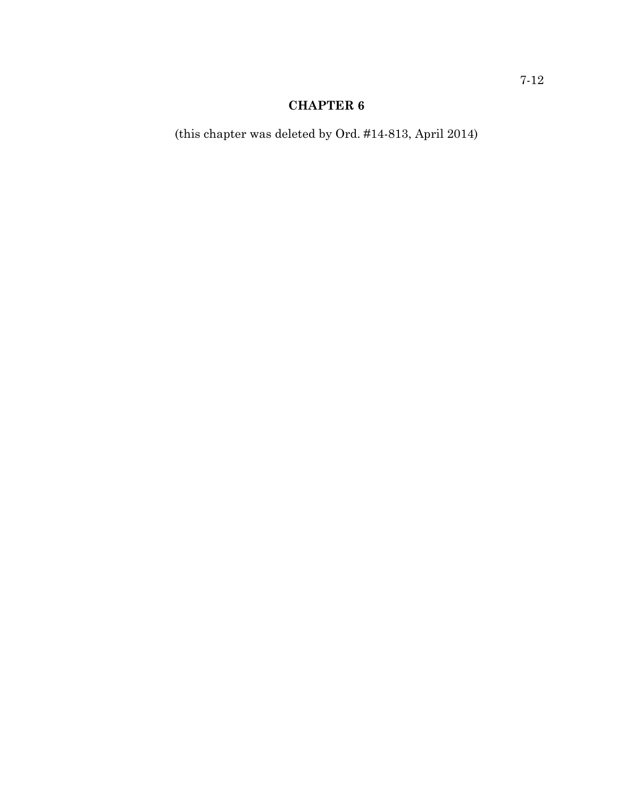(this chapter was deleted by Ord. #14-813, April 2014)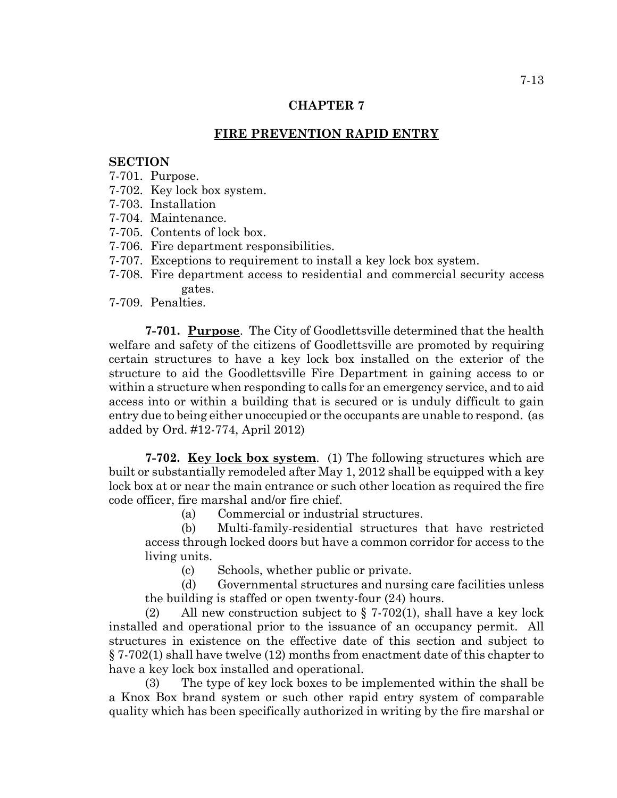# **FIRE PREVENTION RAPID ENTRY**

# **SECTION**

- 7-701. Purpose.
- 7-702. Key lock box system.
- 7-703. Installation
- 7-704. Maintenance.
- 7-705. Contents of lock box.
- 7-706. Fire department responsibilities.
- 7-707. Exceptions to requirement to install a key lock box system.
- 7-708. Fire department access to residential and commercial security access gates.
- 7-709. Penalties.

**7-701. Purpose**. The City of Goodlettsville determined that the health welfare and safety of the citizens of Goodlettsville are promoted by requiring certain structures to have a key lock box installed on the exterior of the structure to aid the Goodlettsville Fire Department in gaining access to or within a structure when responding to calls for an emergency service, and to aid access into or within a building that is secured or is unduly difficult to gain entry due to being either unoccupied or the occupants are unable to respond. (as added by Ord. #12-774, April 2012)

**7-702. Key lock box system**. (1) The following structures which are built or substantially remodeled after May 1, 2012 shall be equipped with a key lock box at or near the main entrance or such other location as required the fire code officer, fire marshal and/or fire chief.

(a) Commercial or industrial structures.

(b) Multi-family-residential structures that have restricted access through locked doors but have a common corridor for access to the living units.

(c) Schools, whether public or private.

(d) Governmental structures and nursing care facilities unless the building is staffed or open twenty-four (24) hours.

(2) All new construction subject to  $\S 7-702(1)$ , shall have a key lock installed and operational prior to the issuance of an occupancy permit. All structures in existence on the effective date of this section and subject to § 7-702(1) shall have twelve (12) months from enactment date of this chapter to have a key lock box installed and operational.

(3) The type of key lock boxes to be implemented within the shall be a Knox Box brand system or such other rapid entry system of comparable quality which has been specifically authorized in writing by the fire marshal or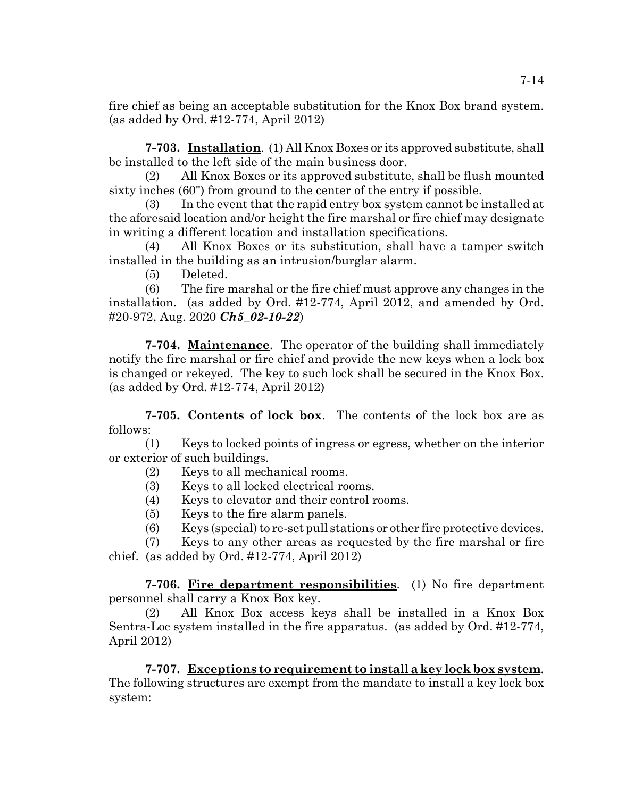fire chief as being an acceptable substitution for the Knox Box brand system. (as added by Ord. #12-774, April 2012)

**7-703. Installation**. (1) All Knox Boxes or its approved substitute, shall be installed to the left side of the main business door.

(2) All Knox Boxes or its approved substitute, shall be flush mounted sixty inches (60") from ground to the center of the entry if possible.

(3) In the event that the rapid entry box system cannot be installed at the aforesaid location and/or height the fire marshal or fire chief may designate in writing a different location and installation specifications.

(4) All Knox Boxes or its substitution, shall have a tamper switch installed in the building as an intrusion/burglar alarm.

(5) Deleted.

(6) The fire marshal or the fire chief must approve any changes in the installation. (as added by Ord. #12-774, April 2012, and amended by Ord. #20-972, Aug. 2020 *Ch5\_02-10-22*)

**7-704. Maintenance**. The operator of the building shall immediately notify the fire marshal or fire chief and provide the new keys when a lock box is changed or rekeyed. The key to such lock shall be secured in the Knox Box. (as added by Ord. #12-774, April 2012)

**7-705. Contents of lock box**. The contents of the lock box are as follows:

(1) Keys to locked points of ingress or egress, whether on the interior or exterior of such buildings.

- (2) Keys to all mechanical rooms.
- (3) Keys to all locked electrical rooms.
- (4) Keys to elevator and their control rooms.
- (5) Keys to the fire alarm panels.
- $(6)$  Keys (special) to re-set pull stations or other fire protective devices.

(7) Keys to any other areas as requested by the fire marshal or fire chief. (as added by Ord. #12-774, April 2012)

**7-706. Fire department responsibilities**. (1) No fire department personnel shall carry a Knox Box key.

(2) All Knox Box access keys shall be installed in a Knox Box Sentra-Loc system installed in the fire apparatus. (as added by Ord. #12-774, April 2012)

**7-707. Exceptions to requirement to install a key lock box system**. The following structures are exempt from the mandate to install a key lock box system: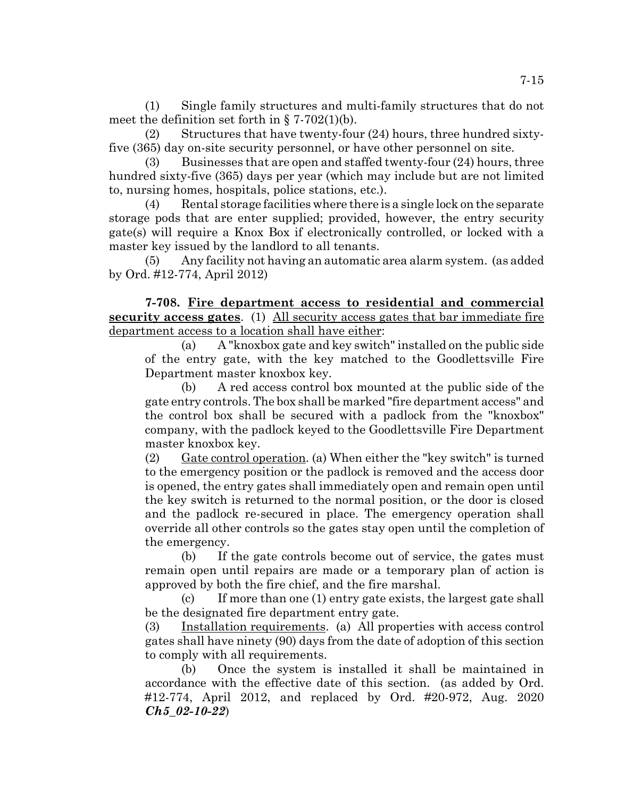(1) Single family structures and multi-family structures that do not meet the definition set forth in  $\S 7-702(1)(b)$ .

(2) Structures that have twenty-four (24) hours, three hundred sixtyfive (365) day on-site security personnel, or have other personnel on site.

(3) Businesses that are open and staffed twenty-four (24) hours, three hundred sixty-five (365) days per year (which may include but are not limited to, nursing homes, hospitals, police stations, etc.).

Rental storage facilities where there is a single lock on the separate storage pods that are enter supplied; provided, however, the entry security gate(s) will require a Knox Box if electronically controlled, or locked with a master key issued by the landlord to all tenants.

(5) Any facility not having an automatic area alarm system. (as added by Ord. #12-774, April 2012)

**7-708. Fire department access to residential and commercial security access gates**. (1) All security access gates that bar immediate fire department access to a location shall have either:

(a) A "knoxbox gate and key switch" installed on the public side of the entry gate, with the key matched to the Goodlettsville Fire Department master knoxbox key.

(b) A red access control box mounted at the public side of the gate entry controls. The box shall be marked "fire department access" and the control box shall be secured with a padlock from the "knoxbox" company, with the padlock keyed to the Goodlettsville Fire Department master knoxbox key.

(2) Gate control operation. (a) When either the "key switch" is turned to the emergency position or the padlock is removed and the access door is opened, the entry gates shall immediately open and remain open until the key switch is returned to the normal position, or the door is closed and the padlock re-secured in place. The emergency operation shall override all other controls so the gates stay open until the completion of the emergency.

(b) If the gate controls become out of service, the gates must remain open until repairs are made or a temporary plan of action is approved by both the fire chief, and the fire marshal.

(c) If more than one (1) entry gate exists, the largest gate shall be the designated fire department entry gate.

(3) Installation requirements. (a) All properties with access control gates shall have ninety (90) days from the date of adoption of this section to comply with all requirements.

(b) Once the system is installed it shall be maintained in accordance with the effective date of this section. (as added by Ord. #12-774, April 2012, and replaced by Ord. #20-972, Aug. 2020 *Ch5\_02-10-22*)